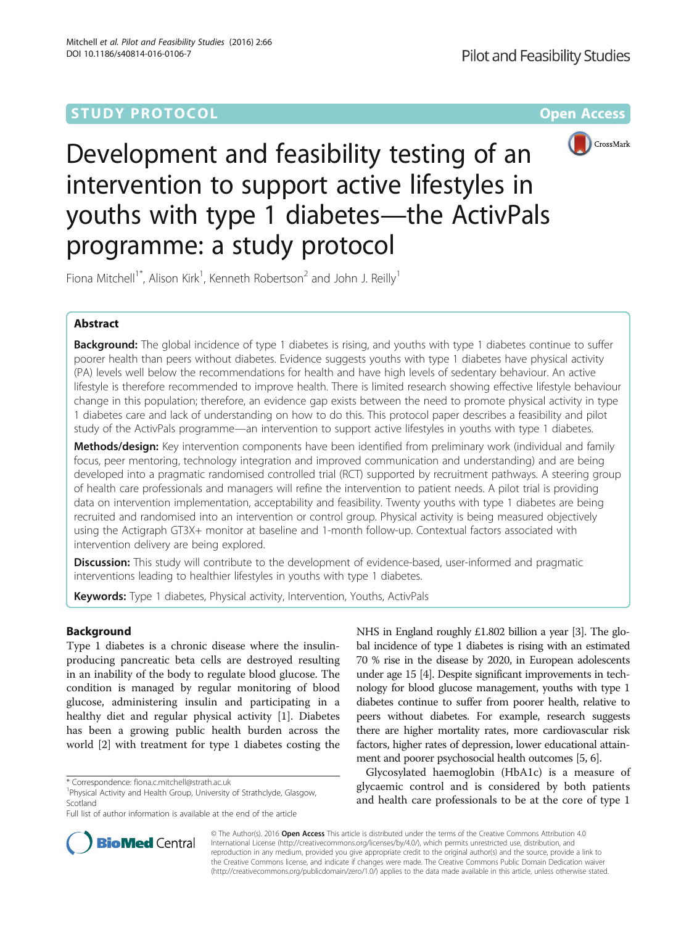# **STUDY PROTOCOL CONSUMING THE RESERVITION CONSUMING THE RESERVITION CONSUMING THE RESERVITION CONSUMING THE RESERVITION CONSUMING THE RESERVITION OF THE RESERVITION CONSUMING THE RESERVITION OF THE RESERVITION CONSUMING**



Development and feasibility testing of an intervention to support active lifestyles in youths with type 1 diabetes—the ActivPals programme: a study protocol

Fiona Mitchell $^{\text{1*}}$ , Alison Kirk $^{\text{l}}$ , Kenneth Robertson $^{\text{2}}$  and John J. Reilly $^{\text{l}}$ 

## Abstract

Background: The global incidence of type 1 diabetes is rising, and youths with type 1 diabetes continue to suffer poorer health than peers without diabetes. Evidence suggests youths with type 1 diabetes have physical activity (PA) levels well below the recommendations for health and have high levels of sedentary behaviour. An active lifestyle is therefore recommended to improve health. There is limited research showing effective lifestyle behaviour change in this population; therefore, an evidence gap exists between the need to promote physical activity in type 1 diabetes care and lack of understanding on how to do this. This protocol paper describes a feasibility and pilot study of the ActivPals programme—an intervention to support active lifestyles in youths with type 1 diabetes.

Methods/design: Key intervention components have been identified from preliminary work (individual and family focus, peer mentoring, technology integration and improved communication and understanding) and are being developed into a pragmatic randomised controlled trial (RCT) supported by recruitment pathways. A steering group of health care professionals and managers will refine the intervention to patient needs. A pilot trial is providing data on intervention implementation, acceptability and feasibility. Twenty youths with type 1 diabetes are being recruited and randomised into an intervention or control group. Physical activity is being measured objectively using the Actigraph GT3X+ monitor at baseline and 1-month follow-up. Contextual factors associated with intervention delivery are being explored.

**Discussion:** This study will contribute to the development of evidence-based, user-informed and pragmatic interventions leading to healthier lifestyles in youths with type 1 diabetes.

Keywords: Type 1 diabetes, Physical activity, Intervention, Youths, ActivPals

## Background

Type 1 diabetes is a chronic disease where the insulinproducing pancreatic beta cells are destroyed resulting in an inability of the body to regulate blood glucose. The condition is managed by regular monitoring of blood glucose, administering insulin and participating in a healthy diet and regular physical activity [\[1](#page-9-0)]. Diabetes has been a growing public health burden across the world [[2\]](#page-9-0) with treatment for type 1 diabetes costing the NHS in England roughly £1.802 billion a year [[3](#page-9-0)]. The global incidence of type 1 diabetes is rising with an estimated 70 % rise in the disease by 2020, in European adolescents under age 15 [[4](#page-9-0)]. Despite significant improvements in technology for blood glucose management, youths with type 1 diabetes continue to suffer from poorer health, relative to peers without diabetes. For example, research suggests there are higher mortality rates, more cardiovascular risk factors, higher rates of depression, lower educational attainment and poorer psychosocial health outcomes [\[5](#page-9-0), [6](#page-9-0)].

Glycosylated haemoglobin (HbA1c) is a measure of glycaemic control and is considered by both patients and health care professionals to be at the core of type 1



© The Author(s). 2016 Open Access This article is distributed under the terms of the Creative Commons Attribution 4.0 International License [\(http://creativecommons.org/licenses/by/4.0/](http://creativecommons.org/licenses/by/4.0/)), which permits unrestricted use, distribution, and reproduction in any medium, provided you give appropriate credit to the original author(s) and the source, provide a link to the Creative Commons license, and indicate if changes were made. The Creative Commons Public Domain Dedication waiver [\(http://creativecommons.org/publicdomain/zero/1.0/](http://creativecommons.org/publicdomain/zero/1.0/)) applies to the data made available in this article, unless otherwise stated.

<sup>\*</sup> Correspondence: [fiona.c.mitchell@strath.ac.uk](mailto:fiona.c.mitchell@strath.ac.uk) <sup>1</sup>

<sup>&</sup>lt;sup>1</sup>Physical Activity and Health Group, University of Strathclyde, Glasgow, Scotland

Full list of author information is available at the end of the article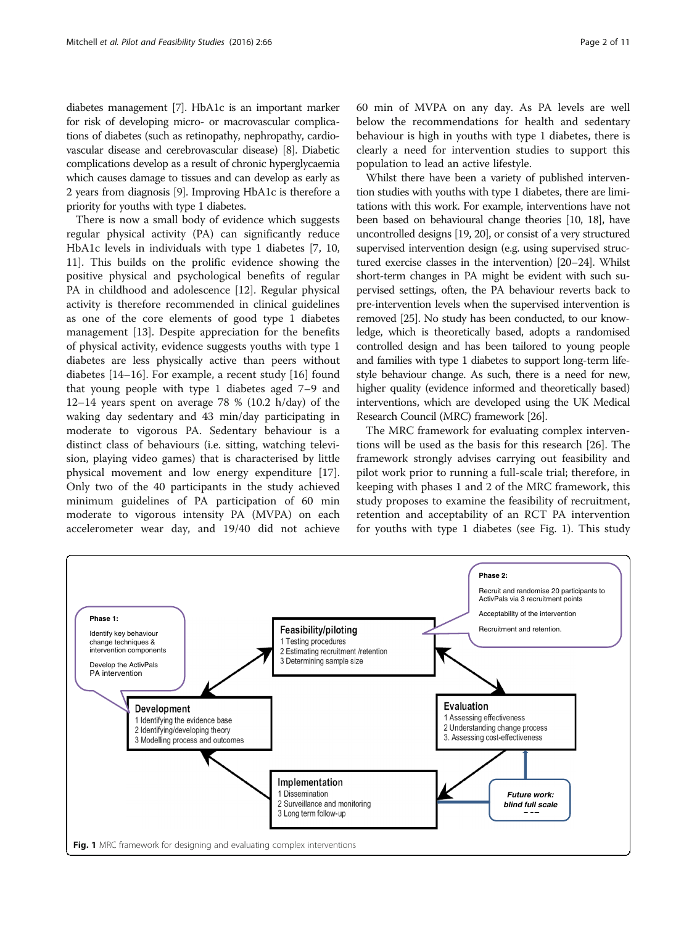<span id="page-1-0"></span>diabetes management [\[7\]](#page-9-0). HbA1c is an important marker for risk of developing micro- or macrovascular complications of diabetes (such as retinopathy, nephropathy, cardiovascular disease and cerebrovascular disease) [\[8](#page-9-0)]. Diabetic complications develop as a result of chronic hyperglycaemia which causes damage to tissues and can develop as early as 2 years from diagnosis [\[9\]](#page-9-0). Improving HbA1c is therefore a priority for youths with type 1 diabetes.

There is now a small body of evidence which suggests regular physical activity (PA) can significantly reduce HbA1c levels in individuals with type 1 diabetes [[7, 10](#page-9-0), [11\]](#page-9-0). This builds on the prolific evidence showing the positive physical and psychological benefits of regular PA in childhood and adolescence [[12\]](#page-9-0). Regular physical activity is therefore recommended in clinical guidelines as one of the core elements of good type 1 diabetes management [[13\]](#page-9-0). Despite appreciation for the benefits of physical activity, evidence suggests youths with type 1 diabetes are less physically active than peers without diabetes [[14](#page-9-0)–[16\]](#page-9-0). For example, a recent study [[16](#page-9-0)] found that young people with type 1 diabetes aged 7–9 and 12–14 years spent on average 78 % (10.2 h/day) of the waking day sedentary and 43 min/day participating in moderate to vigorous PA. Sedentary behaviour is a distinct class of behaviours (i.e. sitting, watching television, playing video games) that is characterised by little physical movement and low energy expenditure [\[17](#page-9-0)]. Only two of the 40 participants in the study achieved minimum guidelines of PA participation of 60 min moderate to vigorous intensity PA (MVPA) on each accelerometer wear day, and 19/40 did not achieve 60 min of MVPA on any day. As PA levels are well below the recommendations for health and sedentary behaviour is high in youths with type 1 diabetes, there is clearly a need for intervention studies to support this population to lead an active lifestyle.

Whilst there have been a variety of published intervention studies with youths with type 1 diabetes, there are limitations with this work. For example, interventions have not been based on behavioural change theories [[10](#page-9-0), [18\]](#page-9-0), have uncontrolled designs [\[19, 20\]](#page-9-0), or consist of a very structured supervised intervention design (e.g. using supervised structured exercise classes in the intervention) [\[20](#page-9-0)–[24](#page-10-0)]. Whilst short-term changes in PA might be evident with such supervised settings, often, the PA behaviour reverts back to pre-intervention levels when the supervised intervention is removed [\[25](#page-10-0)]. No study has been conducted, to our knowledge, which is theoretically based, adopts a randomised controlled design and has been tailored to young people and families with type 1 diabetes to support long-term lifestyle behaviour change. As such, there is a need for new, higher quality (evidence informed and theoretically based) interventions, which are developed using the UK Medical Research Council (MRC) framework [\[26\]](#page-10-0).

The MRC framework for evaluating complex interventions will be used as the basis for this research [\[26\]](#page-10-0). The framework strongly advises carrying out feasibility and pilot work prior to running a full-scale trial; therefore, in keeping with phases 1 and 2 of the MRC framework, this study proposes to examine the feasibility of recruitment, retention and acceptability of an RCT PA intervention for youths with type 1 diabetes (see Fig. 1). This study

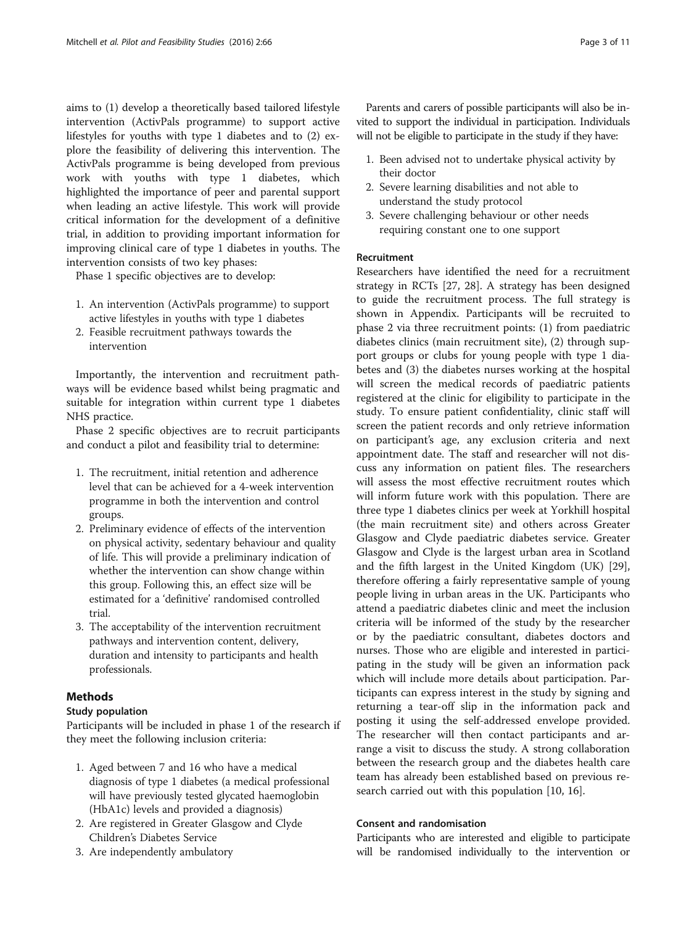<span id="page-2-0"></span>aims to (1) develop a theoretically based tailored lifestyle intervention (ActivPals programme) to support active lifestyles for youths with type 1 diabetes and to (2) explore the feasibility of delivering this intervention. The ActivPals programme is being developed from previous work with youths with type 1 diabetes, which highlighted the importance of peer and parental support when leading an active lifestyle. This work will provide critical information for the development of a definitive trial, in addition to providing important information for improving clinical care of type 1 diabetes in youths. The intervention consists of two key phases:

Phase 1 specific objectives are to develop:

- 1. An intervention (ActivPals programme) to support active lifestyles in youths with type 1 diabetes
- 2. Feasible recruitment pathways towards the intervention

Importantly, the intervention and recruitment pathways will be evidence based whilst being pragmatic and suitable for integration within current type 1 diabetes NHS practice.

Phase 2 specific objectives are to recruit participants and conduct a pilot and feasibility trial to determine:

- 1. The recruitment, initial retention and adherence level that can be achieved for a 4-week intervention programme in both the intervention and control groups.
- 2. Preliminary evidence of effects of the intervention on physical activity, sedentary behaviour and quality of life. This will provide a preliminary indication of whether the intervention can show change within this group. Following this, an effect size will be estimated for a 'definitive' randomised controlled trial.
- 3. The acceptability of the intervention recruitment pathways and intervention content, delivery, duration and intensity to participants and health professionals.

### Methods

### Study population

Participants will be included in phase 1 of the research if they meet the following inclusion criteria:

- 1. Aged between 7 and 16 who have a medical diagnosis of type 1 diabetes (a medical professional will have previously tested glycated haemoglobin (HbA1c) levels and provided a diagnosis)
- 2. Are registered in Greater Glasgow and Clyde Children's Diabetes Service
- 3. Are independently ambulatory

Parents and carers of possible participants will also be invited to support the individual in participation. Individuals will not be eligible to participate in the study if they have:

- 1. Been advised not to undertake physical activity by their doctor
- 2. Severe learning disabilities and not able to understand the study protocol
- 3. Severe challenging behaviour or other needs requiring constant one to one support

### Recruitment

Researchers have identified the need for a recruitment strategy in RCTs [\[27](#page-10-0), [28\]](#page-10-0). A strategy has been designed to guide the recruitment process. The full strategy is shown in [Appendix](#page-8-0). Participants will be recruited to phase 2 via three recruitment points: (1) from paediatric diabetes clinics (main recruitment site), (2) through support groups or clubs for young people with type 1 diabetes and (3) the diabetes nurses working at the hospital will screen the medical records of paediatric patients registered at the clinic for eligibility to participate in the study. To ensure patient confidentiality, clinic staff will screen the patient records and only retrieve information on participant's age, any exclusion criteria and next appointment date. The staff and researcher will not discuss any information on patient files. The researchers will assess the most effective recruitment routes which will inform future work with this population. There are three type 1 diabetes clinics per week at Yorkhill hospital (the main recruitment site) and others across Greater Glasgow and Clyde paediatric diabetes service. Greater Glasgow and Clyde is the largest urban area in Scotland and the fifth largest in the United Kingdom (UK) [\[29](#page-10-0)], therefore offering a fairly representative sample of young people living in urban areas in the UK. Participants who attend a paediatric diabetes clinic and meet the inclusion criteria will be informed of the study by the researcher or by the paediatric consultant, diabetes doctors and nurses. Those who are eligible and interested in participating in the study will be given an information pack which will include more details about participation. Participants can express interest in the study by signing and returning a tear-off slip in the information pack and posting it using the self-addressed envelope provided. The researcher will then contact participants and arrange a visit to discuss the study. A strong collaboration between the research group and the diabetes health care team has already been established based on previous research carried out with this population [\[10](#page-9-0), [16\]](#page-9-0).

### Consent and randomisation

Participants who are interested and eligible to participate will be randomised individually to the intervention or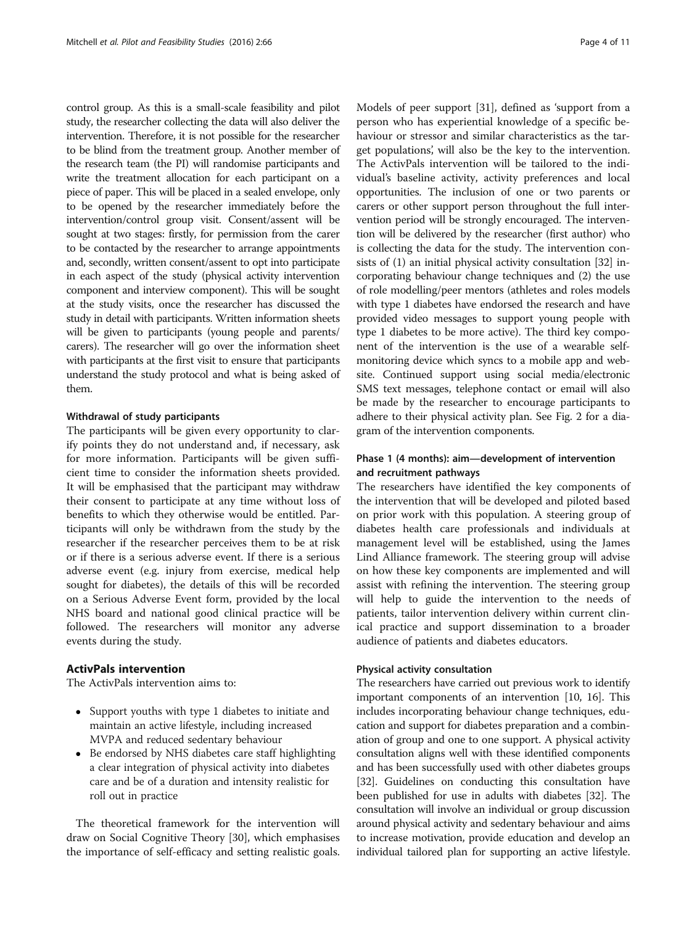control group. As this is a small-scale feasibility and pilot study, the researcher collecting the data will also deliver the intervention. Therefore, it is not possible for the researcher to be blind from the treatment group. Another member of the research team (the PI) will randomise participants and write the treatment allocation for each participant on a piece of paper. This will be placed in a sealed envelope, only to be opened by the researcher immediately before the intervention/control group visit. Consent/assent will be sought at two stages: firstly, for permission from the carer to be contacted by the researcher to arrange appointments and, secondly, written consent/assent to opt into participate in each aspect of the study (physical activity intervention component and interview component). This will be sought at the study visits, once the researcher has discussed the study in detail with participants. Written information sheets will be given to participants (young people and parents/ carers). The researcher will go over the information sheet with participants at the first visit to ensure that participants understand the study protocol and what is being asked of them.

#### Withdrawal of study participants

The participants will be given every opportunity to clarify points they do not understand and, if necessary, ask for more information. Participants will be given sufficient time to consider the information sheets provided. It will be emphasised that the participant may withdraw their consent to participate at any time without loss of benefits to which they otherwise would be entitled. Participants will only be withdrawn from the study by the researcher if the researcher perceives them to be at risk or if there is a serious adverse event. If there is a serious adverse event (e.g. injury from exercise, medical help sought for diabetes), the details of this will be recorded on a Serious Adverse Event form, provided by the local NHS board and national good clinical practice will be followed. The researchers will monitor any adverse events during the study.

### ActivPals intervention

The ActivPals intervention aims to:

- Support youths with type 1 diabetes to initiate and maintain an active lifestyle, including increased MVPA and reduced sedentary behaviour
- Be endorsed by NHS diabetes care staff highlighting a clear integration of physical activity into diabetes care and be of a duration and intensity realistic for roll out in practice

The theoretical framework for the intervention will draw on Social Cognitive Theory [[30](#page-10-0)], which emphasises the importance of self-efficacy and setting realistic goals. Models of peer support [[31\]](#page-10-0), defined as 'support from a person who has experiential knowledge of a specific behaviour or stressor and similar characteristics as the target populations', will also be the key to the intervention. The ActivPals intervention will be tailored to the individual's baseline activity, activity preferences and local opportunities. The inclusion of one or two parents or carers or other support person throughout the full intervention period will be strongly encouraged. The intervention will be delivered by the researcher (first author) who is collecting the data for the study. The intervention consists of (1) an initial physical activity consultation [\[32\]](#page-10-0) incorporating behaviour change techniques and (2) the use of role modelling/peer mentors (athletes and roles models with type 1 diabetes have endorsed the research and have provided video messages to support young people with type 1 diabetes to be more active). The third key component of the intervention is the use of a wearable selfmonitoring device which syncs to a mobile app and website. Continued support using social media/electronic SMS text messages, telephone contact or email will also be made by the researcher to encourage participants to adhere to their physical activity plan. See Fig. [2](#page-4-0) for a diagram of the intervention components.

### Phase 1 (4 months): aim—development of intervention and recruitment pathways

The researchers have identified the key components of the intervention that will be developed and piloted based on prior work with this population. A steering group of diabetes health care professionals and individuals at management level will be established, using the James Lind Alliance framework. The steering group will advise on how these key components are implemented and will assist with refining the intervention. The steering group will help to guide the intervention to the needs of patients, tailor intervention delivery within current clinical practice and support dissemination to a broader audience of patients and diabetes educators.

### Physical activity consultation

The researchers have carried out previous work to identify important components of an intervention [[10](#page-9-0), [16](#page-9-0)]. This includes incorporating behaviour change techniques, education and support for diabetes preparation and a combination of group and one to one support. A physical activity consultation aligns well with these identified components and has been successfully used with other diabetes groups [[32](#page-10-0)]. Guidelines on conducting this consultation have been published for use in adults with diabetes [[32](#page-10-0)]. The consultation will involve an individual or group discussion around physical activity and sedentary behaviour and aims to increase motivation, provide education and develop an individual tailored plan for supporting an active lifestyle.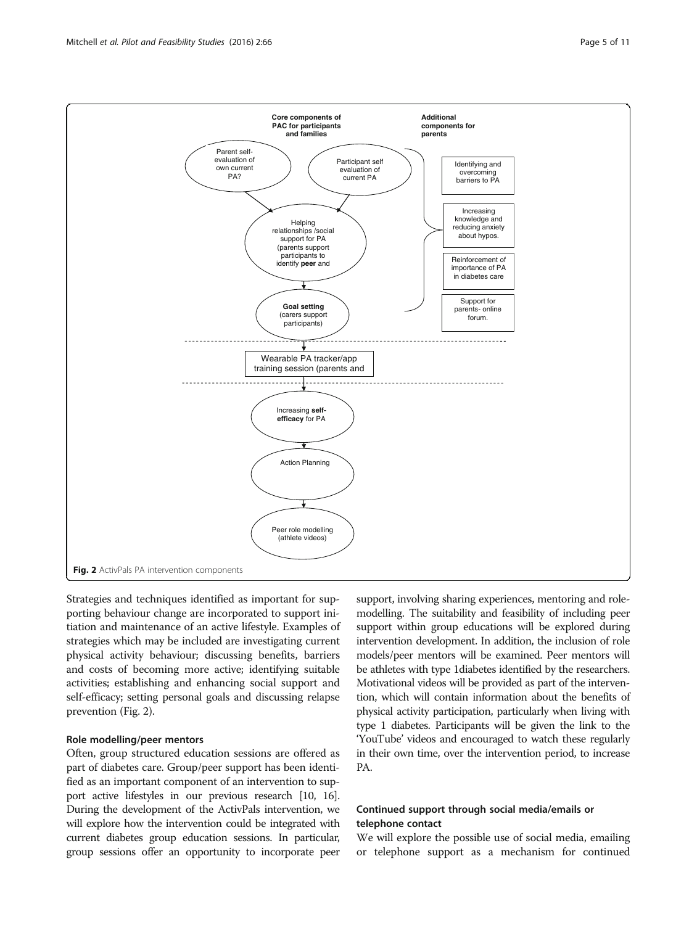<span id="page-4-0"></span>

Strategies and techniques identified as important for supporting behaviour change are incorporated to support initiation and maintenance of an active lifestyle. Examples of strategies which may be included are investigating current physical activity behaviour; discussing benefits, barriers and costs of becoming more active; identifying suitable activities; establishing and enhancing social support and self-efficacy; setting personal goals and discussing relapse prevention (Fig. 2).

### Role modelling/peer mentors

Often, group structured education sessions are offered as part of diabetes care. Group/peer support has been identified as an important component of an intervention to support active lifestyles in our previous research [[10](#page-9-0), [16](#page-9-0)]. During the development of the ActivPals intervention, we will explore how the intervention could be integrated with current diabetes group education sessions. In particular, group sessions offer an opportunity to incorporate peer

support, involving sharing experiences, mentoring and rolemodelling. The suitability and feasibility of including peer support within group educations will be explored during intervention development. In addition, the inclusion of role models/peer mentors will be examined. Peer mentors will be athletes with type 1diabetes identified by the researchers. Motivational videos will be provided as part of the intervention, which will contain information about the benefits of physical activity participation, particularly when living with type 1 diabetes. Participants will be given the link to the 'YouTube' videos and encouraged to watch these regularly in their own time, over the intervention period, to increase PA.

### Continued support through social media/emails or telephone contact

We will explore the possible use of social media, emailing or telephone support as a mechanism for continued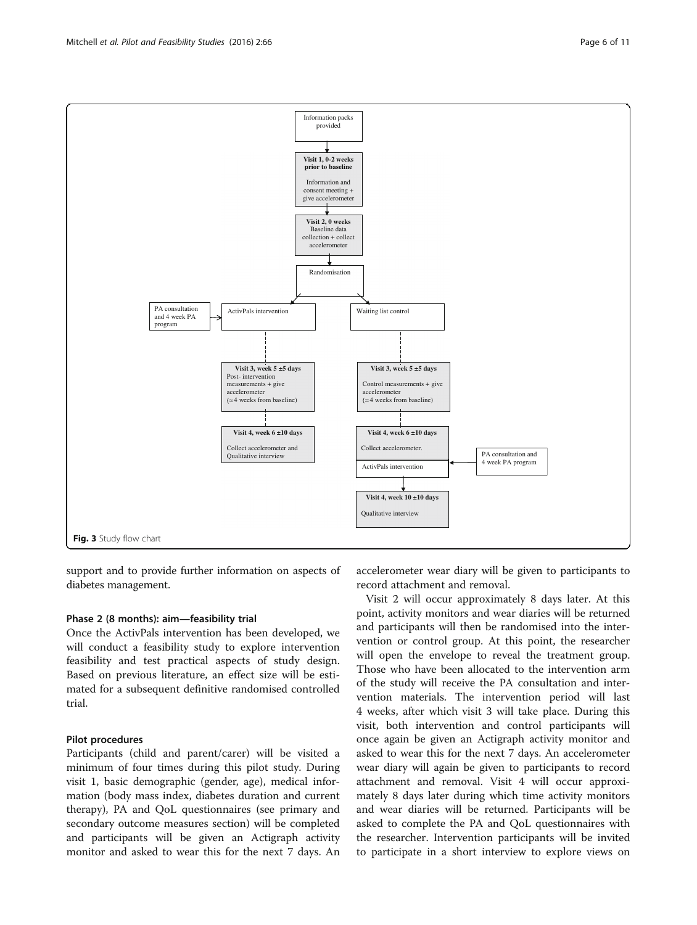support and to provide further information on aspects of diabetes management.

### Phase 2 (8 months): aim—feasibility trial

Once the ActivPals intervention has been developed, we will conduct a feasibility study to explore intervention feasibility and test practical aspects of study design. Based on previous literature, an effect size will be estimated for a subsequent definitive randomised controlled trial.

### Pilot procedures

Participants (child and parent/carer) will be visited a minimum of four times during this pilot study. During visit 1, basic demographic (gender, age), medical information (body mass index, diabetes duration and current therapy), PA and QoL questionnaires (see primary and secondary outcome measures section) will be completed and participants will be given an Actigraph activity monitor and asked to wear this for the next 7 days. An accelerometer wear diary will be given to participants to record attachment and removal.

Visit 2 will occur approximately 8 days later. At this point, activity monitors and wear diaries will be returned and participants will then be randomised into the intervention or control group. At this point, the researcher will open the envelope to reveal the treatment group. Those who have been allocated to the intervention arm of the study will receive the PA consultation and intervention materials. The intervention period will last 4 weeks, after which visit 3 will take place. During this visit, both intervention and control participants will once again be given an Actigraph activity monitor and asked to wear this for the next 7 days. An accelerometer wear diary will again be given to participants to record attachment and removal. Visit 4 will occur approximately 8 days later during which time activity monitors and wear diaries will be returned. Participants will be asked to complete the PA and QoL questionnaires with the researcher. Intervention participants will be invited to participate in a short interview to explore views on

<span id="page-5-0"></span>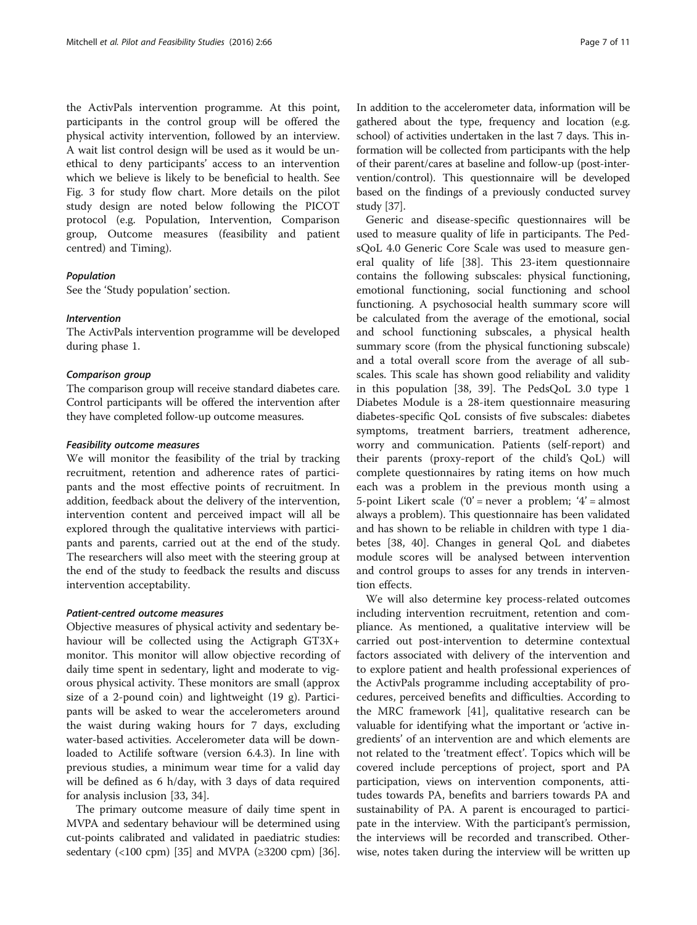the ActivPals intervention programme. At this point, participants in the control group will be offered the physical activity intervention, followed by an interview. A wait list control design will be used as it would be unethical to deny participants' access to an intervention which we believe is likely to be beneficial to health. See Fig. [3](#page-5-0) for study flow chart. More details on the pilot study design are noted below following the PICOT protocol (e.g. Population, Intervention, Comparison group, Outcome measures (feasibility and patient centred) and Timing).

#### Population

See the '[Study population](#page-2-0)' section.

#### Intervention

The ActivPals intervention programme will be developed during phase 1.

#### Comparison group

The comparison group will receive standard diabetes care. Control participants will be offered the intervention after they have completed follow-up outcome measures.

#### Feasibility outcome measures

We will monitor the feasibility of the trial by tracking recruitment, retention and adherence rates of participants and the most effective points of recruitment. In addition, feedback about the delivery of the intervention, intervention content and perceived impact will all be explored through the qualitative interviews with participants and parents, carried out at the end of the study. The researchers will also meet with the steering group at the end of the study to feedback the results and discuss intervention acceptability.

### Patient-centred outcome measures

Objective measures of physical activity and sedentary behaviour will be collected using the Actigraph GT3X+ monitor. This monitor will allow objective recording of daily time spent in sedentary, light and moderate to vigorous physical activity. These monitors are small (approx size of a 2-pound coin) and lightweight (19 g). Participants will be asked to wear the accelerometers around the waist during waking hours for 7 days, excluding water-based activities. Accelerometer data will be downloaded to Actilife software (version 6.4.3). In line with previous studies, a minimum wear time for a valid day will be defined as 6 h/day, with 3 days of data required for analysis inclusion [[33, 34](#page-10-0)].

The primary outcome measure of daily time spent in MVPA and sedentary behaviour will be determined using cut-points calibrated and validated in paediatric studies: sedentary  $\left($  <100 cpm) [[35](#page-10-0)] and MVPA ( $\ge$ 3200 cpm) [[36](#page-10-0)].

In addition to the accelerometer data, information will be gathered about the type, frequency and location (e.g. school) of activities undertaken in the last 7 days. This information will be collected from participants with the help of their parent/cares at baseline and follow-up (post-intervention/control). This questionnaire will be developed based on the findings of a previously conducted survey study [[37\]](#page-10-0).

Generic and disease-specific questionnaires will be used to measure quality of life in participants. The PedsQoL 4.0 Generic Core Scale was used to measure general quality of life [[38\]](#page-10-0). This 23-item questionnaire contains the following subscales: physical functioning, emotional functioning, social functioning and school functioning. A psychosocial health summary score will be calculated from the average of the emotional, social and school functioning subscales, a physical health summary score (from the physical functioning subscale) and a total overall score from the average of all subscales. This scale has shown good reliability and validity in this population [\[38, 39](#page-10-0)]. The PedsQoL 3.0 type 1 Diabetes Module is a 28-item questionnaire measuring diabetes-specific QoL consists of five subscales: diabetes symptoms, treatment barriers, treatment adherence, worry and communication. Patients (self-report) and their parents (proxy-report of the child's QoL) will complete questionnaires by rating items on how much each was a problem in the previous month using a 5-point Likert scale (' $0'$  = never a problem; ' $4'$  = almost always a problem). This questionnaire has been validated and has shown to be reliable in children with type 1 diabetes [\[38](#page-10-0), [40\]](#page-10-0). Changes in general QoL and diabetes module scores will be analysed between intervention and control groups to asses for any trends in intervention effects.

We will also determine key process-related outcomes including intervention recruitment, retention and compliance. As mentioned, a qualitative interview will be carried out post-intervention to determine contextual factors associated with delivery of the intervention and to explore patient and health professional experiences of the ActivPals programme including acceptability of procedures, perceived benefits and difficulties. According to the MRC framework [\[41](#page-10-0)], qualitative research can be valuable for identifying what the important or 'active ingredients' of an intervention are and which elements are not related to the 'treatment effect'. Topics which will be covered include perceptions of project, sport and PA participation, views on intervention components, attitudes towards PA, benefits and barriers towards PA and sustainability of PA. A parent is encouraged to participate in the interview. With the participant's permission, the interviews will be recorded and transcribed. Otherwise, notes taken during the interview will be written up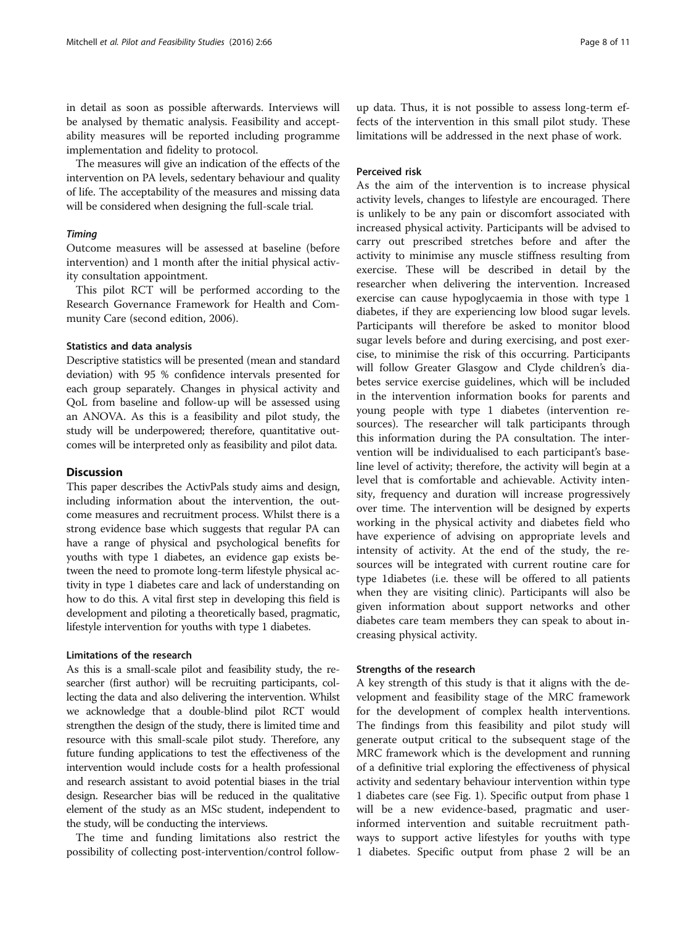in detail as soon as possible afterwards. Interviews will be analysed by thematic analysis. Feasibility and acceptability measures will be reported including programme implementation and fidelity to protocol.

The measures will give an indication of the effects of the intervention on PA levels, sedentary behaviour and quality of life. The acceptability of the measures and missing data will be considered when designing the full-scale trial.

### **Timing**

Outcome measures will be assessed at baseline (before intervention) and 1 month after the initial physical activity consultation appointment.

This pilot RCT will be performed according to the Research Governance Framework for Health and Community Care (second edition, 2006).

#### Statistics and data analysis

Descriptive statistics will be presented (mean and standard deviation) with 95 % confidence intervals presented for each group separately. Changes in physical activity and QoL from baseline and follow-up will be assessed using an ANOVA. As this is a feasibility and pilot study, the study will be underpowered; therefore, quantitative outcomes will be interpreted only as feasibility and pilot data.

#### **Discussion**

This paper describes the ActivPals study aims and design, including information about the intervention, the outcome measures and recruitment process. Whilst there is a strong evidence base which suggests that regular PA can have a range of physical and psychological benefits for youths with type 1 diabetes, an evidence gap exists between the need to promote long-term lifestyle physical activity in type 1 diabetes care and lack of understanding on how to do this. A vital first step in developing this field is development and piloting a theoretically based, pragmatic, lifestyle intervention for youths with type 1 diabetes.

#### Limitations of the research

As this is a small-scale pilot and feasibility study, the researcher (first author) will be recruiting participants, collecting the data and also delivering the intervention. Whilst we acknowledge that a double-blind pilot RCT would strengthen the design of the study, there is limited time and resource with this small-scale pilot study. Therefore, any future funding applications to test the effectiveness of the intervention would include costs for a health professional and research assistant to avoid potential biases in the trial design. Researcher bias will be reduced in the qualitative element of the study as an MSc student, independent to the study, will be conducting the interviews.

The time and funding limitations also restrict the possibility of collecting post-intervention/control follow-

up data. Thus, it is not possible to assess long-term effects of the intervention in this small pilot study. These limitations will be addressed in the next phase of work.

#### Perceived risk

As the aim of the intervention is to increase physical activity levels, changes to lifestyle are encouraged. There is unlikely to be any pain or discomfort associated with increased physical activity. Participants will be advised to carry out prescribed stretches before and after the activity to minimise any muscle stiffness resulting from exercise. These will be described in detail by the researcher when delivering the intervention. Increased exercise can cause hypoglycaemia in those with type 1 diabetes, if they are experiencing low blood sugar levels. Participants will therefore be asked to monitor blood sugar levels before and during exercising, and post exercise, to minimise the risk of this occurring. Participants will follow Greater Glasgow and Clyde children's diabetes service exercise guidelines, which will be included in the intervention information books for parents and young people with type 1 diabetes (intervention resources). The researcher will talk participants through this information during the PA consultation. The intervention will be individualised to each participant's baseline level of activity; therefore, the activity will begin at a level that is comfortable and achievable. Activity intensity, frequency and duration will increase progressively over time. The intervention will be designed by experts working in the physical activity and diabetes field who have experience of advising on appropriate levels and intensity of activity. At the end of the study, the resources will be integrated with current routine care for type 1diabetes (i.e. these will be offered to all patients when they are visiting clinic). Participants will also be given information about support networks and other diabetes care team members they can speak to about increasing physical activity.

#### Strengths of the research

A key strength of this study is that it aligns with the development and feasibility stage of the MRC framework for the development of complex health interventions. The findings from this feasibility and pilot study will generate output critical to the subsequent stage of the MRC framework which is the development and running of a definitive trial exploring the effectiveness of physical activity and sedentary behaviour intervention within type 1 diabetes care (see Fig. [1\)](#page-1-0). Specific output from phase 1 will be a new evidence-based, pragmatic and userinformed intervention and suitable recruitment pathways to support active lifestyles for youths with type 1 diabetes. Specific output from phase 2 will be an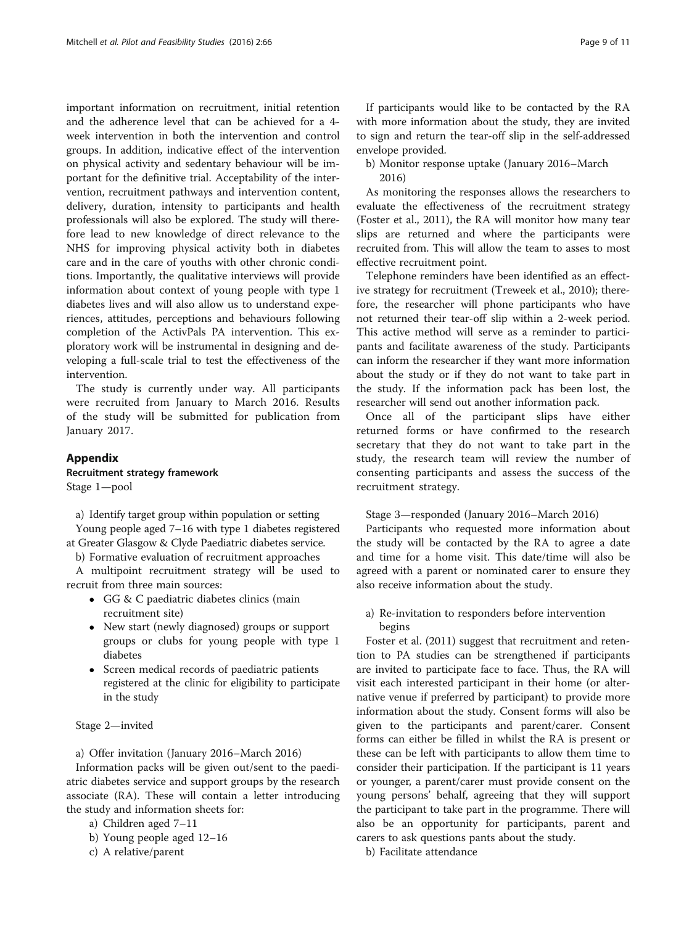<span id="page-8-0"></span>important information on recruitment, initial retention and the adherence level that can be achieved for a 4 week intervention in both the intervention and control groups. In addition, indicative effect of the intervention on physical activity and sedentary behaviour will be important for the definitive trial. Acceptability of the intervention, recruitment pathways and intervention content, delivery, duration, intensity to participants and health professionals will also be explored. The study will therefore lead to new knowledge of direct relevance to the NHS for improving physical activity both in diabetes care and in the care of youths with other chronic conditions. Importantly, the qualitative interviews will provide information about context of young people with type 1 diabetes lives and will also allow us to understand experiences, attitudes, perceptions and behaviours following completion of the ActivPals PA intervention. This exploratory work will be instrumental in designing and developing a full-scale trial to test the effectiveness of the intervention.

The study is currently under way. All participants were recruited from January to March 2016. Results of the study will be submitted for publication from January 2017.

### Appendix

### Recruitment strategy framework Stage 1—pool

a) Identify target group within population or setting Young people aged 7–16 with type 1 diabetes registered at Greater Glasgow & Clyde Paediatric diabetes service.

b) Formative evaluation of recruitment approaches

A multipoint recruitment strategy will be used to recruit from three main sources:

- GG & C paediatric diabetes clinics (main recruitment site)
- New start (newly diagnosed) groups or support groups or clubs for young people with type 1 diabetes
- Screen medical records of paediatric patients registered at the clinic for eligibility to participate in the study

Stage 2—invited

a) Offer invitation (January 2016–March 2016)

Information packs will be given out/sent to the paediatric diabetes service and support groups by the research associate (RA). These will contain a letter introducing the study and information sheets for:

a) Children aged 7–11

- b) Young people aged 12–16
- c) A relative/parent

If participants would like to be contacted by the RA with more information about the study, they are invited to sign and return the tear-off slip in the self-addressed envelope provided.

b) Monitor response uptake (January 2016–March 2016)

As monitoring the responses allows the researchers to evaluate the effectiveness of the recruitment strategy (Foster et al., 2011), the RA will monitor how many tear slips are returned and where the participants were recruited from. This will allow the team to asses to most effective recruitment point.

Telephone reminders have been identified as an effective strategy for recruitment (Treweek et al., 2010); therefore, the researcher will phone participants who have not returned their tear-off slip within a 2-week period. This active method will serve as a reminder to participants and facilitate awareness of the study. Participants can inform the researcher if they want more information about the study or if they do not want to take part in the study. If the information pack has been lost, the researcher will send out another information pack.

Once all of the participant slips have either returned forms or have confirmed to the research secretary that they do not want to take part in the study, the research team will review the number of consenting participants and assess the success of the recruitment strategy.

### Stage 3—responded (January 2016–March 2016)

Participants who requested more information about the study will be contacted by the RA to agree a date and time for a home visit. This date/time will also be agreed with a parent or nominated carer to ensure they also receive information about the study.

a) Re-invitation to responders before intervention begins

Foster et al. (2011) suggest that recruitment and retention to PA studies can be strengthened if participants are invited to participate face to face. Thus, the RA will visit each interested participant in their home (or alternative venue if preferred by participant) to provide more information about the study. Consent forms will also be given to the participants and parent/carer. Consent forms can either be filled in whilst the RA is present or these can be left with participants to allow them time to consider their participation. If the participant is 11 years or younger, a parent/carer must provide consent on the young persons' behalf, agreeing that they will support the participant to take part in the programme. There will also be an opportunity for participants, parent and carers to ask questions pants about the study.

b) Facilitate attendance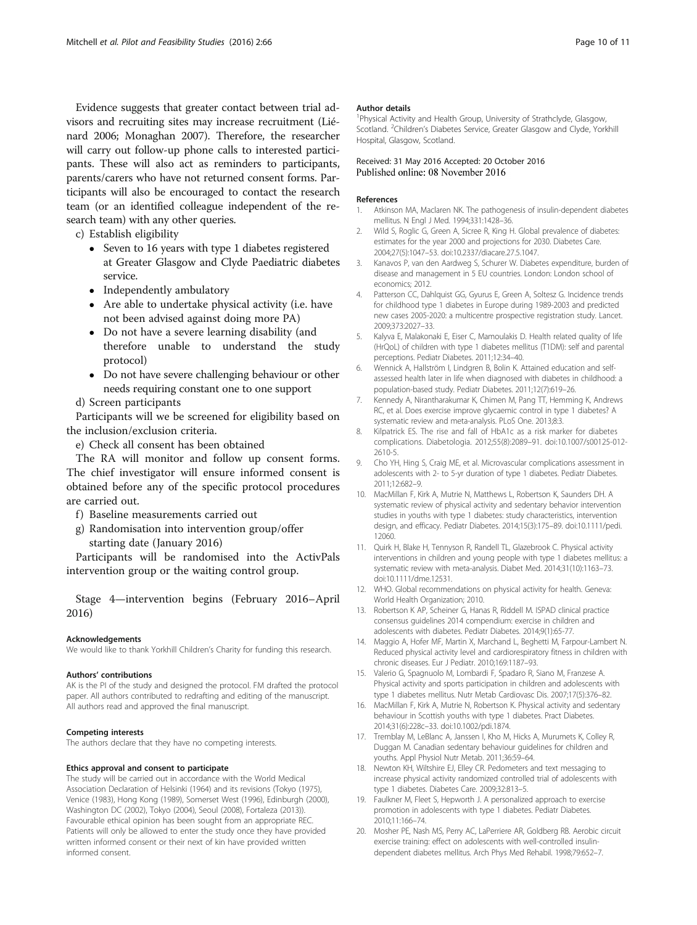<span id="page-9-0"></span>Evidence suggests that greater contact between trial advisors and recruiting sites may increase recruitment (Liénard 2006; Monaghan 2007). Therefore, the researcher will carry out follow-up phone calls to interested participants. These will also act as reminders to participants, parents/carers who have not returned consent forms. Participants will also be encouraged to contact the research team (or an identified colleague independent of the research team) with any other queries.

c) Establish eligibility

- Seven to 16 years with type 1 diabetes registered at Greater Glasgow and Clyde Paediatric diabetes service.
- Independently ambulatory
- Are able to undertake physical activity (i.e. have not been advised against doing more PA)
- Do not have a severe learning disability (and therefore unable to understand the study protocol)
- Do not have severe challenging behaviour or other needs requiring constant one to one support

#### d) Screen participants

Participants will we be screened for eligibility based on the inclusion/exclusion criteria.

e) Check all consent has been obtained

The RA will monitor and follow up consent forms. The chief investigator will ensure informed consent is obtained before any of the specific protocol procedures are carried out.

- f) Baseline measurements carried out
- g) Randomisation into intervention group/offer starting date (January 2016)

Participants will be randomised into the ActivPals intervention group or the waiting control group.

Stage 4—intervention begins (February 2016–April 2016)

#### Acknowledgements

We would like to thank Yorkhill Children's Charity for funding this research.

#### Authors' contributions

AK is the PI of the study and designed the protocol. FM drafted the protocol paper. All authors contributed to redrafting and editing of the manuscript. All authors read and approved the final manuscript.

#### Competing interests

The authors declare that they have no competing interests.

### Ethics approval and consent to participate

The study will be carried out in accordance with the World Medical Association Declaration of Helsinki (1964) and its revisions (Tokyo (1975), Venice (1983), Hong Kong (1989), Somerset West (1996), Edinburgh (2000), Washington DC (2002), Tokyo (2004), Seoul (2008), Fortaleza (2013)). Favourable ethical opinion has been sought from an appropriate REC. Patients will only be allowed to enter the study once they have provided written informed consent or their next of kin have provided written informed consent.

#### Author details

<sup>1</sup> Physical Activity and Health Group, University of Strathclyde, Glasgow, Scotland. <sup>2</sup>Children's Diabetes Service, Greater Glasgow and Clyde, Yorkhill Hospital, Glasgow, Scotland.

#### Received: 31 May 2016 Accepted: 20 October 2016 Published online: 08 November 2016

#### References

- 1. Atkinson MA, Maclaren NK. The pathogenesis of insulin-dependent diabetes mellitus. N Engl J Med. 1994;331:1428–36.
- 2. Wild S, Roglic G, Green A, Sicree R, King H. Global prevalence of diabetes: estimates for the year 2000 and projections for 2030. Diabetes Care. 2004;27(5):1047–53. doi[:10.2337/diacare.27.5.1047](http://dx.doi.org/10.2337/diacare.27.5.1047).
- 3. Kanavos P, van den Aardweg S, Schurer W. Diabetes expenditure, burden of disease and management in 5 EU countries. London: London school of economics; 2012.
- 4. Patterson CC, Dahlquist GG, Gyurus E, Green A, Soltesz G. Incidence trends for childhood type 1 diabetes in Europe during 1989-2003 and predicted new cases 2005-2020: a multicentre prospective registration study. Lancet. 2009;373:2027–33.
- 5. Kalyva E, Malakonaki E, Eiser C, Mamoulakis D. Health related quality of life (HrQoL) of children with type 1 diabetes mellitus (T1DM): self and parental perceptions. Pediatr Diabetes. 2011;12:34–40.
- 6. Wennick A, Hallström I, Lindgren B, Bolin K. Attained education and selfassessed health later in life when diagnosed with diabetes in childhood: a population-based study. Pediatr Diabetes. 2011;12(7):619–26.
- 7. Kennedy A, Nirantharakumar K, Chimen M, Pang TT, Hemming K, Andrews RC, et al. Does exercise improve glycaemic control in type 1 diabetes? A systematic review and meta-analysis. PLoS One. 2013;8:3.
- 8. Kilpatrick ES. The rise and fall of HbA1c as a risk marker for diabetes complications. Diabetologia. 2012;55(8):2089–91. doi:[10.1007/s00125-012-](http://dx.doi.org/10.1007/s00125-012-2610-5) [2610-5](http://dx.doi.org/10.1007/s00125-012-2610-5).
- 9. Cho YH, Hing S, Craig ME, et al. Microvascular complications assessment in adolescents with 2- to 5-yr duration of type 1 diabetes. Pediatr Diabetes. 2011;12:682–9.
- 10. MacMillan F, Kirk A, Mutrie N, Matthews L, Robertson K, Saunders DH. A systematic review of physical activity and sedentary behavior intervention studies in youths with type 1 diabetes: study characteristics, intervention design, and efficacy. Pediatr Diabetes. 2014;15(3):175–89. doi:[10.1111/pedi.](http://dx.doi.org/10.1111/pedi.12060) [12060.](http://dx.doi.org/10.1111/pedi.12060)
- 11. Quirk H, Blake H, Tennyson R, Randell TL, Glazebrook C. Physical activity interventions in children and young people with type 1 diabetes mellitus: a systematic review with meta-analysis. Diabet Med. 2014;31(10):1163–73. doi[:10.1111/dme.12531](http://dx.doi.org/10.1111/dme.12531).
- 12. WHO. Global recommendations on physical activity for health. Geneva: World Health Organization; 2010.
- 13. Robertson K AP, Scheiner G, Hanas R, Riddell M. ISPAD clinical practice consensus guidelines 2014 compendium: exercise in children and adolescents with diabetes. Pediatr Diabetes. 2014;9(1):65-77.
- 14. Maggio A, Hofer MF, Martin X, Marchand L, Beghetti M, Farpour-Lambert N. Reduced physical activity level and cardiorespiratory fitness in children with chronic diseases. Eur J Pediatr. 2010;169:1187–93.
- 15. Valerio G, Spagnuolo M, Lombardi F, Spadaro R, Siano M, Franzese A. Physical activity and sports participation in children and adolescents with type 1 diabetes mellitus. Nutr Metab Cardiovasc Dis. 2007;17(5):376–82.
- 16. MacMillan F, Kirk A, Mutrie N, Robertson K. Physical activity and sedentary behaviour in Scottish youths with type 1 diabetes. Pract Diabetes. 2014;31(6):228c–33. doi[:10.1002/pdi.1874](http://dx.doi.org/10.1002/pdi.1874).
- 17. Tremblay M, LeBlanc A, Janssen I, Kho M, Hicks A, Murumets K, Colley R, Duggan M. Canadian sedentary behaviour guidelines for children and youths. Appl Physiol Nutr Metab. 2011;36:59–64.
- 18. Newton KH, Wiltshire EJ, Elley CR. Pedometers and text messaging to increase physical activity randomized controlled trial of adolescents with type 1 diabetes. Diabetes Care. 2009;32:813–5.
- 19. Faulkner M, Fleet S, Hepworth J. A personalized approach to exercise promotion in adolescents with type 1 diabetes. Pediatr Diabetes. 2010;11:166–74.
- 20. Mosher PE, Nash MS, Perry AC, LaPerriere AR, Goldberg RB. Aerobic circuit exercise training: effect on adolescents with well-controlled insulindependent diabetes mellitus. Arch Phys Med Rehabil. 1998;79:652–7.